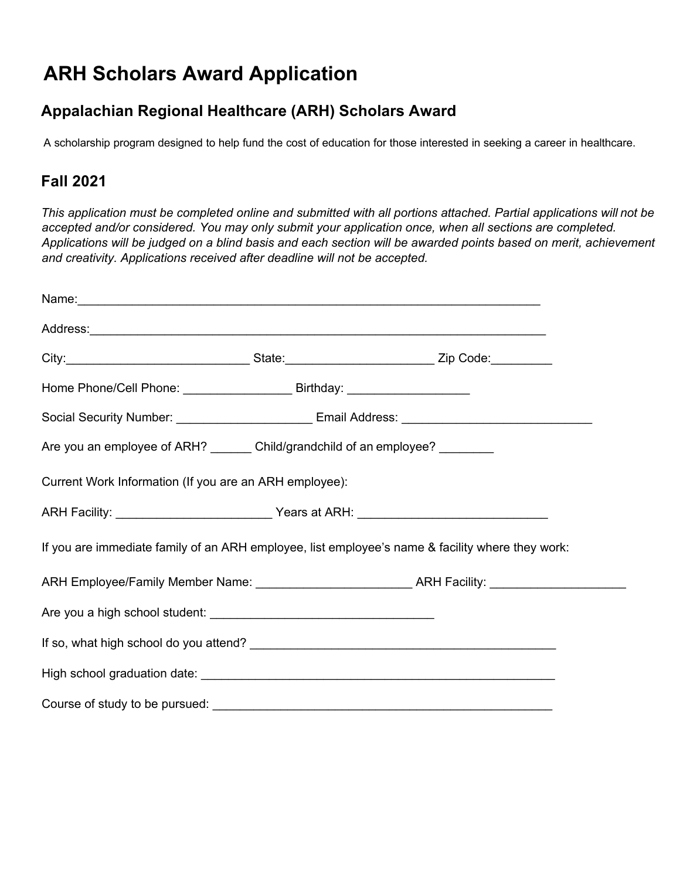## **ARH Scholars Award Application**

## **Appalachian Regional Healthcare (ARH) Scholars Award**

A scholarship program designed to help fund the cost of education for those interested in seeking a career in healthcare.

## **Fall 2021**

This application must be completed online and submitted with all portions attached. Partial applications will not be *accepted and/or considered. You may only submit your application once, when all sections are completed.* Applications will be judged on a blind basis and each section will be awarded points based on merit, achievement *and creativity. Applications received after deadline will not be accepted.*

| Address: <u>Address:</u> Address: Address: Address: Address: Address: Address: Address: Address: Address: Address: Address: Address: Address: Address: Address: Address: Address: Address: Address: Address: Address: Address: Addr |                                                               |
|-------------------------------------------------------------------------------------------------------------------------------------------------------------------------------------------------------------------------------------|---------------------------------------------------------------|
|                                                                                                                                                                                                                                     |                                                               |
| Home Phone/Cell Phone: ___________________________________Birthday: ________________________________                                                                                                                                |                                                               |
|                                                                                                                                                                                                                                     |                                                               |
| Are you an employee of ARH? _______ Child/grandchild of an employee? _________                                                                                                                                                      |                                                               |
| Current Work Information (If you are an ARH employee):                                                                                                                                                                              |                                                               |
|                                                                                                                                                                                                                                     |                                                               |
| If you are immediate family of an ARH employee, list employee's name & facility where they work:                                                                                                                                    |                                                               |
|                                                                                                                                                                                                                                     | ARH Employee/Family Member Name: Mannell Manual ARH Facility: |
|                                                                                                                                                                                                                                     |                                                               |
|                                                                                                                                                                                                                                     |                                                               |
|                                                                                                                                                                                                                                     |                                                               |
|                                                                                                                                                                                                                                     |                                                               |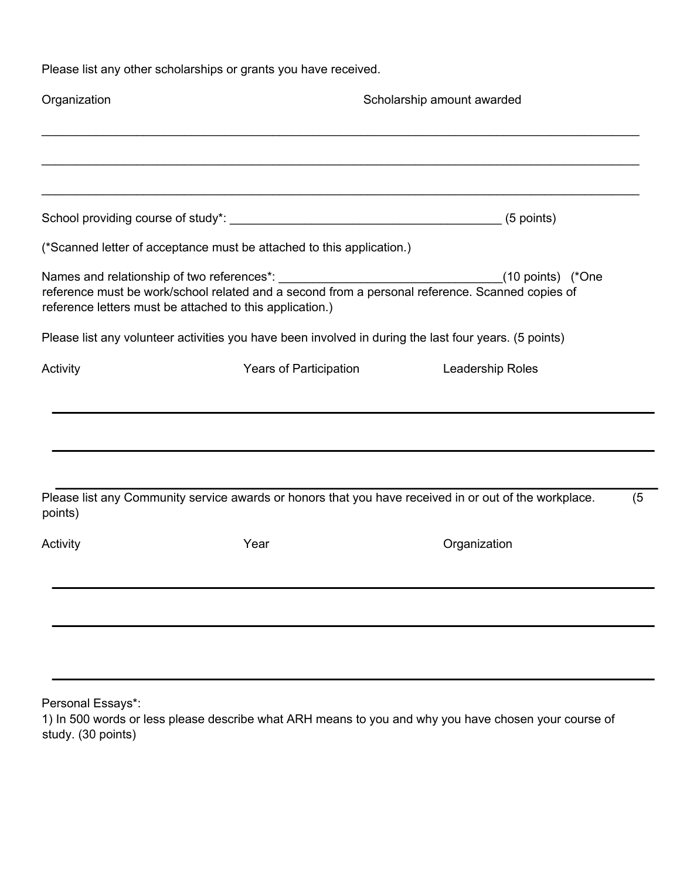Please list any other scholarships or grants you have received.

| Organization |                                                                       | Scholarship amount awarded                                                                            |     |  |
|--------------|-----------------------------------------------------------------------|-------------------------------------------------------------------------------------------------------|-----|--|
|              |                                                                       |                                                                                                       |     |  |
|              |                                                                       |                                                                                                       |     |  |
|              | (*Scanned letter of acceptance must be attached to this application.) |                                                                                                       |     |  |
|              | reference letters must be attached to this application.)              | (10 points) (*One                                                                                     |     |  |
|              |                                                                       | Please list any volunteer activities you have been involved in during the last four years. (5 points) |     |  |
| Activity     |                                                                       | Years of Participation <b>Example 2 Leadership Roles</b>                                              |     |  |
|              |                                                                       |                                                                                                       |     |  |
| points)      |                                                                       | Please list any Community service awards or honors that you have received in or out of the workplace. | (5) |  |
| Activity     | Year                                                                  | Organization                                                                                          |     |  |
|              |                                                                       |                                                                                                       |     |  |
|              |                                                                       |                                                                                                       |     |  |
|              |                                                                       |                                                                                                       |     |  |

Personal Essays\*:

1) In 500 words or less please describe what ARH means to you and why you have chosen your course of study. (30 points)